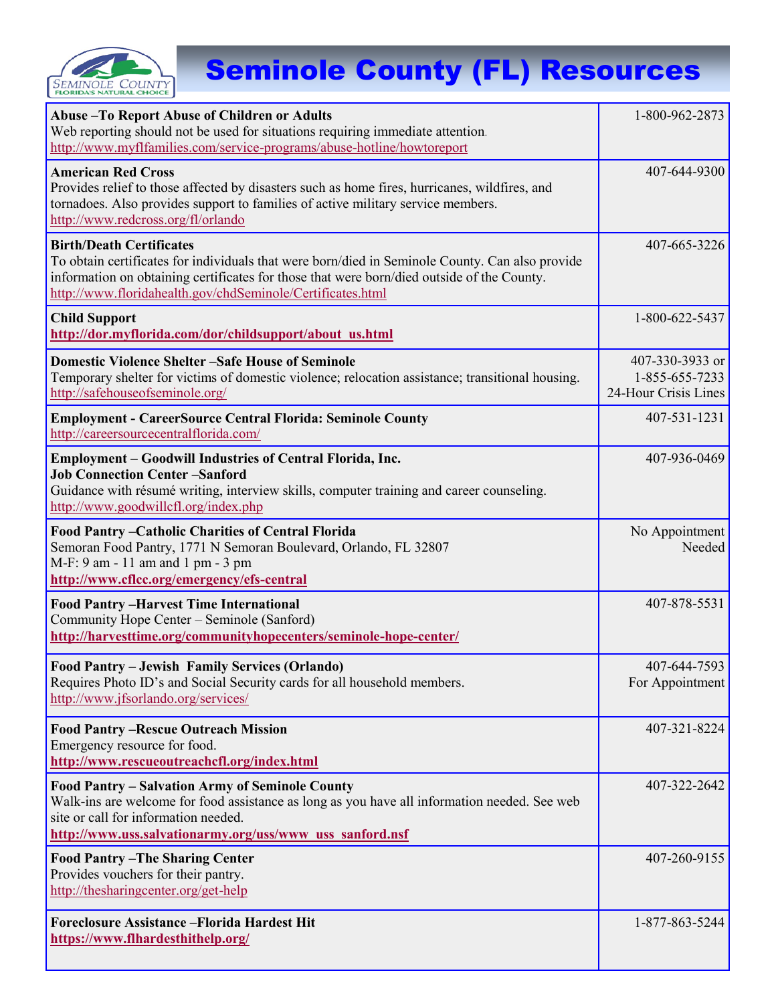

## Seminole County (FL) Resources

| Abuse - To Report Abuse of Children or Adults<br>Web reporting should not be used for situations requiring immediate attention.<br>http://www.myflfamilies.com/service-programs/abuse-hotline/howtoreport                                                                                      | 1-800-962-2873                                            |
|------------------------------------------------------------------------------------------------------------------------------------------------------------------------------------------------------------------------------------------------------------------------------------------------|-----------------------------------------------------------|
| <b>American Red Cross</b><br>Provides relief to those affected by disasters such as home fires, hurricanes, wildfires, and<br>tornadoes. Also provides support to families of active military service members.<br>http://www.redcross.org/fl/orlando                                           | 407-644-9300                                              |
| <b>Birth/Death Certificates</b><br>To obtain certificates for individuals that were born/died in Seminole County. Can also provide<br>information on obtaining certificates for those that were born/died outside of the County.<br>http://www.floridahealth.gov/chdSeminole/Certificates.html | 407-665-3226                                              |
| <b>Child Support</b><br>http://dor.myflorida.com/dor/childsupport/about us.html                                                                                                                                                                                                                | 1-800-622-5437                                            |
| <b>Domestic Violence Shelter -Safe House of Seminole</b><br>Temporary shelter for victims of domestic violence; relocation assistance; transitional housing.<br>http://safehouseofseminole.org/                                                                                                | 407-330-3933 or<br>1-855-655-7233<br>24-Hour Crisis Lines |
| <b>Employment - CareerSource Central Florida: Seminole County</b><br>http://careersourcecentralflorida.com/                                                                                                                                                                                    | 407-531-1231                                              |
| <b>Employment – Goodwill Industries of Central Florida, Inc.</b><br><b>Job Connection Center-Sanford</b><br>Guidance with résumé writing, interview skills, computer training and career counseling.<br>http://www.goodwillcfl.org/index.php                                                   | 407-936-0469                                              |
| Food Pantry - Catholic Charities of Central Florida<br>Semoran Food Pantry, 1771 N Semoran Boulevard, Orlando, FL 32807<br>M-F: 9 am - 11 am and 1 pm - 3 pm<br>http://www.cflcc.org/emergency/efs-central                                                                                     | No Appointment<br>Needed                                  |
| <b>Food Pantry-Harvest Time International</b><br>Community Hope Center - Seminole (Sanford)<br>http://harvesttime.org/communityhopecenters/seminole-hope-center/                                                                                                                               | 407-878-5531                                              |
| Food Pantry – Jewish Family Services (Orlando)<br>Requires Photo ID's and Social Security cards for all household members.<br>http://www.jfsorlando.org/services/                                                                                                                              | 407-644-7593<br>For Appointment                           |
| <b>Food Pantry -Rescue Outreach Mission</b><br>Emergency resource for food.<br>http://www.rescueoutreachcfl.org/index.html                                                                                                                                                                     | 407-321-8224                                              |
| Food Pantry - Salvation Army of Seminole County<br>Walk-ins are welcome for food assistance as long as you have all information needed. See web<br>site or call for information needed.<br>http://www.uss.salvationarmy.org/uss/www uss sanford.nsf                                            | 407-322-2642                                              |
| <b>Food Pantry-The Sharing Center</b><br>Provides vouchers for their pantry.<br>http://thesharingcenter.org/get-help                                                                                                                                                                           | 407-260-9155                                              |
| <b>Foreclosure Assistance - Florida Hardest Hit</b><br>https://www.flhardesthithelp.org/                                                                                                                                                                                                       | 1-877-863-5244                                            |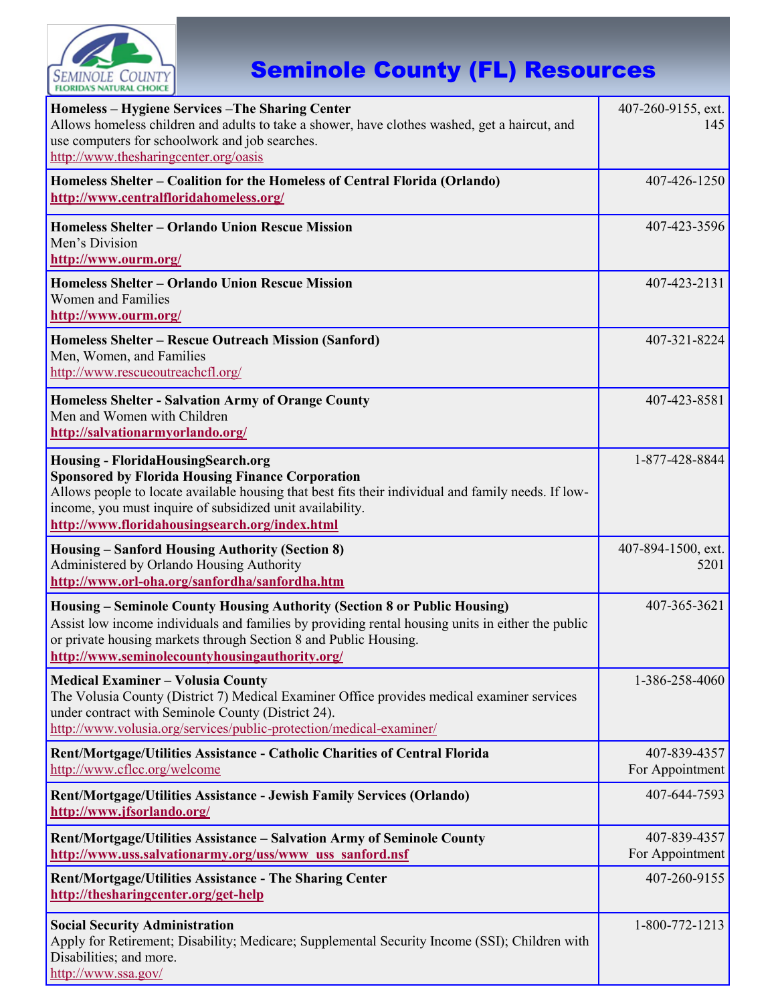

## Seminole County (FL) Resources

| Homeless - Hygiene Services - The Sharing Center<br>Allows homeless children and adults to take a shower, have clothes washed, get a haircut, and<br>use computers for schoolwork and job searches.<br>http://www.thesharingcenter.org/oasis                                                                               | 407-260-9155, ext.<br>145       |
|----------------------------------------------------------------------------------------------------------------------------------------------------------------------------------------------------------------------------------------------------------------------------------------------------------------------------|---------------------------------|
| Homeless Shelter – Coalition for the Homeless of Central Florida (Orlando)<br>http://www.centralfloridahomeless.org/                                                                                                                                                                                                       | 407-426-1250                    |
| <b>Homeless Shelter - Orlando Union Rescue Mission</b><br>Men's Division<br>http://www.ourm.org/                                                                                                                                                                                                                           | 407-423-3596                    |
| <b>Homeless Shelter - Orlando Union Rescue Mission</b><br><b>Women and Families</b><br>http://www.ourm.org/                                                                                                                                                                                                                | 407-423-2131                    |
| Homeless Shelter - Rescue Outreach Mission (Sanford)<br>Men, Women, and Families<br>http://www.rescueoutreachcfl.org/                                                                                                                                                                                                      | 407-321-8224                    |
| <b>Homeless Shelter - Salvation Army of Orange County</b><br>Men and Women with Children<br>http://salvationarmyorlando.org/                                                                                                                                                                                               | 407-423-8581                    |
| <b>Housing - FloridaHousingSearch.org</b><br><b>Sponsored by Florida Housing Finance Corporation</b><br>Allows people to locate available housing that best fits their individual and family needs. If low-<br>income, you must inquire of subsidized unit availability.<br>http://www.floridahousingsearch.org/index.html | 1-877-428-8844                  |
| <b>Housing - Sanford Housing Authority (Section 8)</b><br>Administered by Orlando Housing Authority<br>http://www.orl-oha.org/sanfordha/sanfordha.htm                                                                                                                                                                      | 407-894-1500, ext.<br>5201      |
|                                                                                                                                                                                                                                                                                                                            |                                 |
| Housing – Seminole County Housing Authority (Section 8 or Public Housing)<br>Assist low income individuals and families by providing rental housing units in either the public<br>or private housing markets through Section 8 and Public Housing.<br>http://www.seminolecountyhousingauthority.org/                       | 407-365-3621                    |
| <b>Medical Examiner - Volusia County</b><br>The Volusia County (District 7) Medical Examiner Office provides medical examiner services<br>under contract with Seminole County (District 24).<br>http://www.volusia.org/services/public-protection/medical-examiner/                                                        | 1-386-258-4060                  |
| Rent/Mortgage/Utilities Assistance - Catholic Charities of Central Florida<br>http://www.cflcc.org/welcome                                                                                                                                                                                                                 | 407-839-4357<br>For Appointment |
| Rent/Mortgage/Utilities Assistance - Jewish Family Services (Orlando)<br>http://www.jfsorlando.org/                                                                                                                                                                                                                        | 407-644-7593                    |
| Rent/Mortgage/Utilities Assistance – Salvation Army of Seminole County<br>http://www.uss.salvationarmy.org/uss/www uss sanford.nsf                                                                                                                                                                                         | 407-839-4357<br>For Appointment |
| Rent/Mortgage/Utilities Assistance - The Sharing Center<br>http://thesharingcenter.org/get-help                                                                                                                                                                                                                            | 407-260-9155                    |